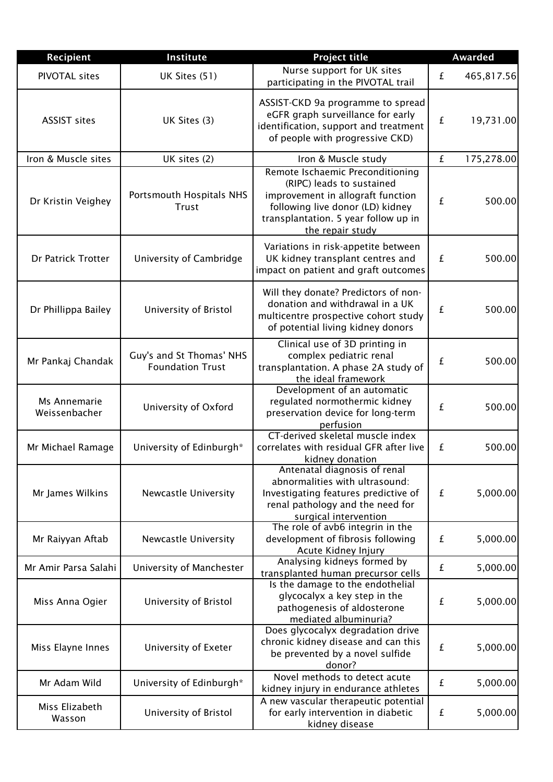| <b>Recipient</b>              | Institute                                           | <b>Project title</b>                                                                                                                                                                               |   | <b>Awarded</b> |
|-------------------------------|-----------------------------------------------------|----------------------------------------------------------------------------------------------------------------------------------------------------------------------------------------------------|---|----------------|
| PIVOTAL sites                 | UK Sites (51)                                       | Nurse support for UK sites<br>participating in the PIVOTAL trail                                                                                                                                   | £ | 465,817.56     |
| <b>ASSIST sites</b>           | UK Sites (3)                                        | ASSIST-CKD 9a programme to spread<br>eGFR graph surveillance for early<br>identification, support and treatment<br>of people with progressive CKD)                                                 | £ | 19,731.00      |
| Iron & Muscle sites           | UK sites (2)                                        | Iron & Muscle study                                                                                                                                                                                | £ | 175,278.00     |
| Dr Kristin Veighey            | Portsmouth Hospitals NHS<br><b>Trust</b>            | Remote Ischaemic Preconditioning<br>(RIPC) leads to sustained<br>improvement in allograft function<br>following live donor (LD) kidney<br>transplantation. 5 year follow up in<br>the repair study | £ | 500.00         |
| Dr Patrick Trotter            | University of Cambridge                             | Variations in risk-appetite between<br>UK kidney transplant centres and<br>impact on patient and graft outcomes                                                                                    | £ | 500.00         |
| Dr Phillippa Bailey           | University of Bristol                               | Will they donate? Predictors of non-<br>donation and withdrawal in a UK<br>multicentre prospective cohort study<br>of potential living kidney donors                                               | £ | 500.00         |
| Mr Pankaj Chandak             | Guy's and St Thomas' NHS<br><b>Foundation Trust</b> | Clinical use of 3D printing in<br>complex pediatric renal<br>transplantation. A phase 2A study of<br>the ideal framework                                                                           | £ | 500.00         |
| Ms Annemarie<br>Weissenbacher | University of Oxford                                | Development of an automatic<br>regulated normothermic kidney<br>preservation device for long-term<br>perfusion                                                                                     | £ | 500.00         |
| Mr Michael Ramage             | University of Edinburgh*                            | CT-derived skeletal muscle index<br>correlates with residual GFR after live<br>kidney donation                                                                                                     | £ | 500.00         |
| Mr James Wilkins              | Newcastle University                                | Antenatal diagnosis of renal<br>abnormalities with ultrasound:<br>Investigating features predictive of<br>renal pathology and the need for<br>surgical intervention                                | £ | 5,000.00       |
| Mr Raiyyan Aftab              | Newcastle University                                | The role of avb6 integrin in the<br>development of fibrosis following<br><b>Acute Kidney Injury</b>                                                                                                | £ | 5,000.00       |
| Mr Amir Parsa Salahi          | University of Manchester                            | Analysing kidneys formed by<br>transplanted human precursor cells                                                                                                                                  | £ | 5,000.00       |
| Miss Anna Ogier               | University of Bristol                               | Is the damage to the endothelial<br>glycocalyx a key step in the<br>pathogenesis of aldosterone<br>mediated albuminuria?                                                                           | £ | 5,000.00       |
| Miss Elayne Innes             | University of Exeter                                | Does glycocalyx degradation drive<br>chronic kidney disease and can this<br>be prevented by a novel sulfide<br>donor?                                                                              | £ | 5,000.00       |
| Mr Adam Wild                  | University of Edinburgh*                            | Novel methods to detect acute<br>kidney injury in endurance athletes                                                                                                                               | £ | 5,000.00       |
| Miss Elizabeth<br>Wasson      | University of Bristol                               | A new vascular therapeutic potential<br>for early intervention in diabetic<br>kidney disease                                                                                                       | £ | 5,000.00       |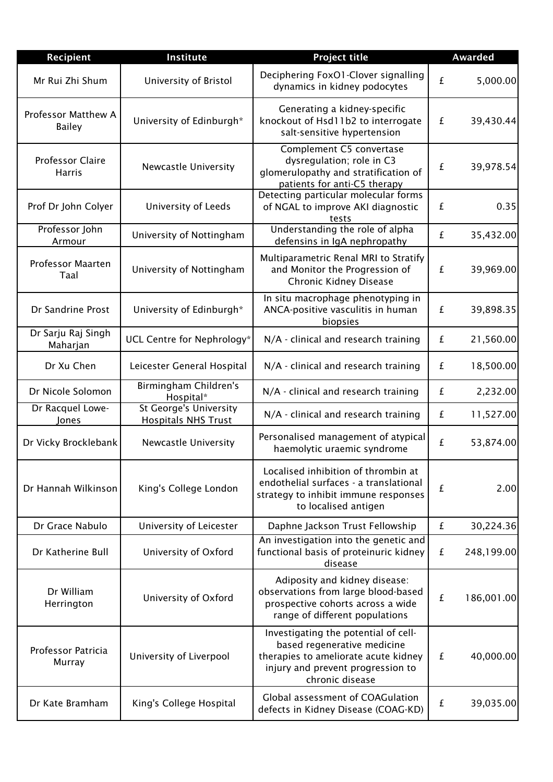| <b>Recipient</b>                     | Institute                                            | <b>Project title</b>                                                                                                                                                |   | <b>Awarded</b> |
|--------------------------------------|------------------------------------------------------|---------------------------------------------------------------------------------------------------------------------------------------------------------------------|---|----------------|
| Mr Rui Zhi Shum                      | University of Bristol                                | Deciphering FoxO1-Clover signalling<br>dynamics in kidney podocytes                                                                                                 | £ | 5,000.00       |
| Professor Matthew A<br><b>Bailey</b> | University of Edinburgh*                             | Generating a kidney-specific<br>knockout of Hsd11b2 to interrogate<br>salt-sensitive hypertension                                                                   | £ | 39,430.44      |
| Professor Claire<br>Harris           | Newcastle University                                 | Complement C5 convertase<br>dysregulation; role in C3<br>glomerulopathy and stratification of<br>patients for anti-C5 therapy                                       | £ | 39,978.54      |
| Prof Dr John Colyer                  | University of Leeds                                  | Detecting particular molecular forms<br>of NGAL to improve AKI diagnostic<br>tests                                                                                  | £ | 0.35           |
| Professor John<br>Armour             | University of Nottingham                             | Understanding the role of alpha<br>defensins in IgA nephropathy                                                                                                     | £ | 35,432.00      |
| <b>Professor Maarten</b><br>Taal     | University of Nottingham                             | Multiparametric Renal MRI to Stratify<br>and Monitor the Progression of<br><b>Chronic Kidney Disease</b>                                                            | £ | 39,969.00      |
| Dr Sandrine Prost                    | University of Edinburgh*                             | In situ macrophage phenotyping in<br>ANCA-positive vasculitis in human<br>biopsies                                                                                  | £ | 39,898.35      |
| Dr Sarju Raj Singh<br>Maharjan       | UCL Centre for Nephrology*                           | N/A - clinical and research training                                                                                                                                | £ | 21,560.00      |
| Dr Xu Chen                           | Leicester General Hospital                           | N/A - clinical and research training                                                                                                                                | £ | 18,500.00      |
| Dr Nicole Solomon                    | <b>Birmingham Children's</b><br>Hospital*            | N/A - clinical and research training                                                                                                                                | £ | 2,232.00       |
| Dr Racquel Lowe-<br>Jones            | St George's University<br><b>Hospitals NHS Trust</b> | N/A - clinical and research training                                                                                                                                | £ | 11,527.00      |
| Dr Vicky Brocklebank                 | Newcastle University                                 | Personalised management of atypical<br>haemolytic uraemic syndrome                                                                                                  | £ | 53,874.00      |
| Dr Hannah Wilkinson                  | King's College London                                | Localised inhibition of thrombin at<br>endothelial surfaces - a translational<br>strategy to inhibit immune responses<br>to localised antigen                       | £ | 2.00           |
| Dr Grace Nabulo                      | University of Leicester                              | Daphne Jackson Trust Fellowship                                                                                                                                     | £ | 30,224.36      |
| Dr Katherine Bull                    | University of Oxford                                 | An investigation into the genetic and<br>functional basis of proteinuric kidney<br>disease                                                                          | £ | 248,199.00     |
| Dr William<br>Herrington             | University of Oxford                                 | Adiposity and kidney disease:<br>observations from large blood-based<br>prospective cohorts across a wide<br>range of different populations                         | £ | 186,001.00     |
| Professor Patricia<br><b>Murray</b>  | University of Liverpool                              | Investigating the potential of cell-<br>based regenerative medicine<br>therapies to ameliorate acute kidney<br>injury and prevent progression to<br>chronic disease | £ | 40,000.00      |
| Dr Kate Bramham                      | King's College Hospital                              | Global assessment of COAGulation<br>defects in Kidney Disease (COAG-KD)                                                                                             | £ | 39,035.00      |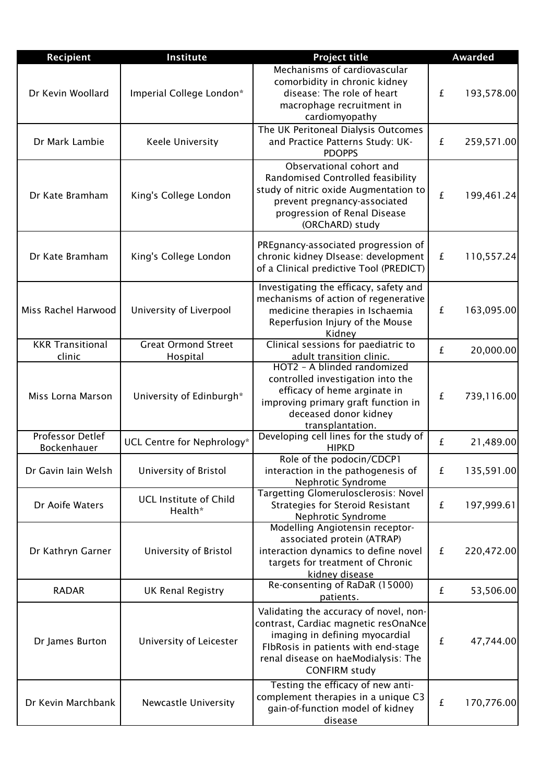| <b>Recipient</b>                       | Institute                                | <b>Project title</b>                                                                                                                                                                                                   | <b>Awarded</b>  |
|----------------------------------------|------------------------------------------|------------------------------------------------------------------------------------------------------------------------------------------------------------------------------------------------------------------------|-----------------|
| Dr Kevin Woollard                      | Imperial College London*                 | Mechanisms of cardiovascular<br>comorbidity in chronic kidney<br>disease: The role of heart<br>macrophage recruitment in<br>cardiomyopathy                                                                             | £<br>193,578.00 |
| Dr Mark Lambie                         | Keele University                         | The UK Peritoneal Dialysis Outcomes<br>and Practice Patterns Study: UK-<br><b>PDOPPS</b>                                                                                                                               | £<br>259,571.00 |
| Dr Kate Bramham                        | King's College London                    | Observational cohort and<br>Randomised Controlled feasibility<br>study of nitric oxide Augmentation to<br>prevent pregnancy-associated<br>progression of Renal Disease<br>(ORChARD) study                              | £<br>199,461.24 |
| Dr Kate Bramham                        | King's College London                    | PREgnancy-associated progression of<br>chronic kidney DIsease: development<br>of a Clinical predictive Tool (PREDICT)                                                                                                  | £<br>110,557.24 |
| Miss Rachel Harwood                    | University of Liverpool                  | Investigating the efficacy, safety and<br>mechanisms of action of regenerative<br>medicine therapies in Ischaemia<br>Reperfusion Injury of the Mouse<br>Kidney                                                         | £<br>163,095.00 |
| <b>KKR Transitional</b><br>clinic      | <b>Great Ormond Street</b><br>Hospital   | Clinical sessions for paediatric to<br>adult transition clinic.                                                                                                                                                        | 20,000.00<br>£  |
| Miss Lorna Marson                      | University of Edinburgh*                 | HOT2 - A blinded randomized<br>controlled investigation into the<br>efficacy of heme arginate in<br>improving primary graft function in<br>deceased donor kidney<br>transplantation.                                   | £<br>739,116.00 |
| Professor Detlef<br><b>Bockenhauer</b> | UCL Centre for Nephrology*               | Developing cell lines for the study of<br><b>HIPKD</b>                                                                                                                                                                 | £<br>21,489.00  |
| Dr Gavin Iain Welsh                    | University of Bristol                    | Role of the podocin/CDCP1<br>interaction in the pathogenesis of<br>Nephrotic Syndrome                                                                                                                                  | 135,591.00<br>£ |
| Dr Aoife Waters                        | <b>UCL Institute of Child</b><br>Health* | <b>Targetting Glomerulosclerosis: Novel</b><br>Strategies for Steroid Resistant<br>Nephrotic Syndrome                                                                                                                  | £<br>197,999.61 |
| Dr Kathryn Garner                      | University of Bristol                    | Modelling Angiotensin receptor-<br>associated protein (ATRAP)<br>interaction dynamics to define novel<br>targets for treatment of Chronic<br>kidney disease                                                            | 220,472.00<br>£ |
| <b>RADAR</b>                           | UK Renal Registry                        | Re-consenting of RaDaR (15000)<br>patients.                                                                                                                                                                            | 53,506.00<br>£  |
| Dr James Burton                        | University of Leicester                  | Validating the accuracy of novel, non-<br>contrast, Cardiac magnetic resOnaNce<br>imaging in defining myocardial<br>FIbRosis in patients with end-stage<br>renal disease on haeModialysis: The<br><b>CONFIRM study</b> | £<br>47,744.00  |
| Dr Kevin Marchbank                     | Newcastle University                     | Testing the efficacy of new anti-<br>complement therapies in a unique C3<br>gain-of-function model of kidney<br><u>disease</u>                                                                                         | £<br>170,776.00 |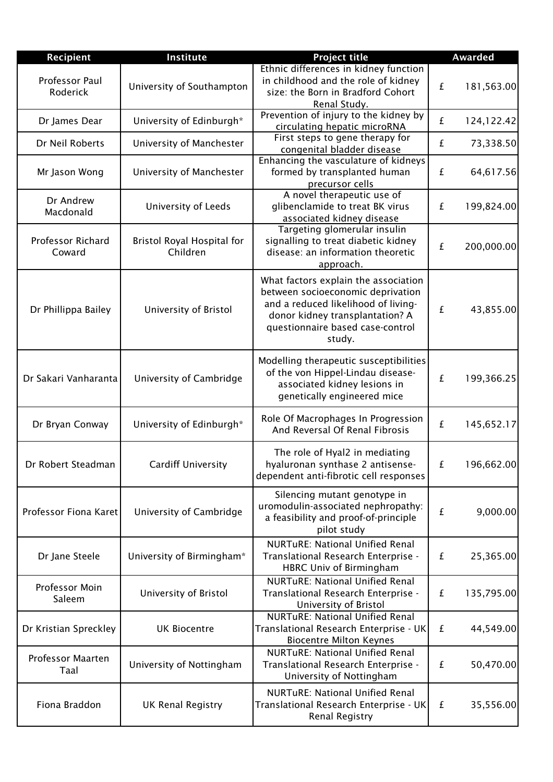| <b>Recipient</b>            | Institute                              | <b>Project title</b>                                                                                                                                                                              | <b>Awarded</b>  |
|-----------------------------|----------------------------------------|---------------------------------------------------------------------------------------------------------------------------------------------------------------------------------------------------|-----------------|
| Professor Paul<br>Roderick  | University of Southampton              | Ethnic differences in kidney function<br>in childhood and the role of kidney<br>size: the Born in Bradford Cohort<br>Renal Study.                                                                 | £<br>181,563.00 |
| Dr James Dear               | University of Edinburgh*               | Prevention of injury to the kidney by<br>circulating hepatic microRNA                                                                                                                             | £<br>124,122.42 |
| Dr Neil Roberts             | University of Manchester               | First steps to gene therapy for<br>congenital bladder disease                                                                                                                                     | £<br>73,338.50  |
| Mr Jason Wong               | University of Manchester               | Enhancing the vasculature of kidneys<br>formed by transplanted human<br>precursor cells                                                                                                           | £<br>64,617.56  |
| Dr Andrew<br>Macdonald      | University of Leeds                    | A novel therapeutic use of<br>glibenclamide to treat BK virus<br>associated kidney disease                                                                                                        | 199,824.00<br>£ |
| Professor Richard<br>Coward | Bristol Royal Hospital for<br>Children | Targeting glomerular insulin<br>signalling to treat diabetic kidney<br>disease: an information theoretic<br>approach.                                                                             | 200,000.00<br>£ |
| Dr Phillippa Bailey         | University of Bristol                  | What factors explain the association<br>between socioeconomic deprivation<br>and a reduced likelihood of living-<br>donor kidney transplantation? A<br>questionnaire based case-control<br>study. | £<br>43,855.00  |
| Dr Sakari Vanharanta        | University of Cambridge                | Modelling therapeutic susceptibilities<br>of the von Hippel-Lindau disease-<br>associated kidney lesions in<br>genetically engineered mice                                                        | £<br>199,366.25 |
| Dr Bryan Conway             | University of Edinburgh*               | Role Of Macrophages In Progression<br>And Reversal Of Renal Fibrosis                                                                                                                              | £<br>145,652.17 |
| Dr Robert Steadman          | <b>Cardiff University</b>              | The role of Hyal2 in mediating<br>hyaluronan synthase 2 antisense-<br>dependent anti-fibrotic cell responses                                                                                      | 196,662.00      |
| Professor Fiona Karet       | University of Cambridge                | Silencing mutant genotype in<br>uromodulin-associated nephropathy:<br>a feasibility and proof-of-principle<br>pilot study                                                                         | £<br>9,000.00   |
| Dr Jane Steele              | University of Birmingham*              | <b>NURTuRE: National Unified Renal</b><br>Translational Research Enterprise -<br>HBRC Univ of Birmingham                                                                                          | 25,365.00<br>£  |
| Professor Moin<br>Saleem    | University of Bristol                  | <b>NURTuRE: National Unified Renal</b><br>Translational Research Enterprise -<br>University of Bristol                                                                                            | 135,795.00<br>£ |
| Dr Kristian Spreckley       | <b>UK Biocentre</b>                    | <b>NURTuRE: National Unified Renal</b><br>Translational Research Enterprise - UK<br><b>Biocentre Milton Keynes</b>                                                                                | 44,549.00<br>£  |
| Professor Maarten<br>Taal   | University of Nottingham               | <b>NURTuRE: National Unified Renal</b><br>Translational Research Enterprise -<br>University of Nottingham                                                                                         | 50,470.00<br>£  |
| Fiona Braddon               | UK Renal Registry                      | <b>NURTuRE: National Unified Renal</b><br>Translational Research Enterprise - UK<br><b>Renal Registry</b>                                                                                         | £<br>35,556.00  |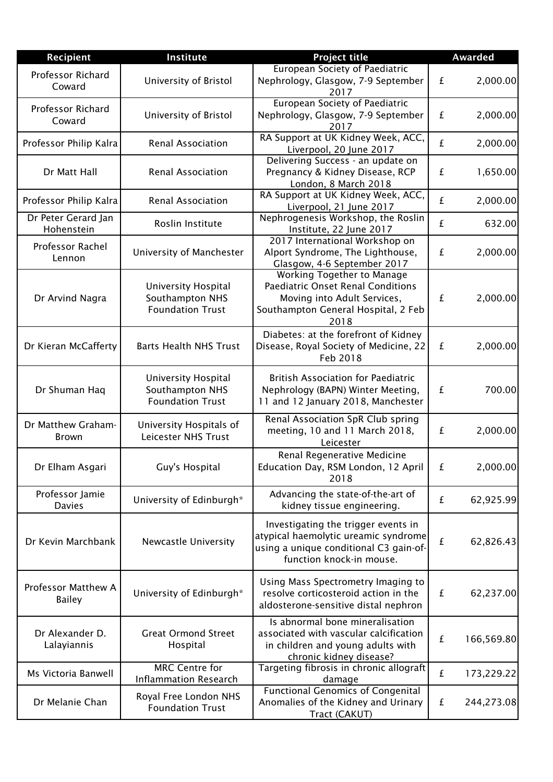| <b>Recipient</b>                     | Institute                                                         | <b>Project title</b>                                                                                                                                 |   | Awarded    |
|--------------------------------------|-------------------------------------------------------------------|------------------------------------------------------------------------------------------------------------------------------------------------------|---|------------|
| Professor Richard<br>Coward          | University of Bristol                                             | European Society of Paediatric<br>Nephrology, Glasgow, 7-9 September                                                                                 | £ | 2,000.00   |
| Professor Richard<br>Coward          | University of Bristol                                             | 2017<br>European Society of Paediatric<br>Nephrology, Glasgow, 7-9 September<br>2017                                                                 | £ | 2,000.00   |
| Professor Philip Kalra               | <b>Renal Association</b>                                          | RA Support at UK Kidney Week, ACC,<br>Liverpool, 20 June 2017                                                                                        | £ | 2,000.00   |
| Dr Matt Hall                         | <b>Renal Association</b>                                          | Delivering Success - an update on<br>Pregnancy & Kidney Disease, RCP<br>London, 8 March 2018                                                         | £ | 1,650.00   |
| Professor Philip Kalra               | <b>Renal Association</b>                                          | RA Support at UK Kidney Week, ACC,<br>Liverpool, 21 June 2017                                                                                        | £ | 2,000.00   |
| Dr Peter Gerard Jan<br>Hohenstein    | Roslin Institute                                                  | Nephrogenesis Workshop, the Roslin<br>Institute, 22 June 2017                                                                                        | £ | 632.00     |
| Professor Rachel<br>Lennon           | University of Manchester                                          | 2017 International Workshop on<br>Alport Syndrome, The Lighthouse,<br>Glasgow, 4-6 September 2017                                                    | £ | 2,000.00   |
| Dr Arvind Nagra                      | University Hospital<br>Southampton NHS<br><b>Foundation Trust</b> | Working Together to Manage<br><b>Paediatric Onset Renal Conditions</b><br>Moving into Adult Services,<br>Southampton General Hospital, 2 Feb<br>2018 | £ | 2,000.00   |
| Dr Kieran McCafferty                 | <b>Barts Health NHS Trust</b>                                     | Diabetes: at the forefront of Kidney<br>Disease, Royal Society of Medicine, 22<br>Feb 2018                                                           | £ | 2,000.00   |
| Dr Shuman Haq                        | University Hospital<br>Southampton NHS<br><b>Foundation Trust</b> | <b>British Association for Paediatric</b><br>Nephrology (BAPN) Winter Meeting,<br>11 and 12 January 2018, Manchester                                 | £ | 700.00     |
| Dr Matthew Graham-<br><b>Brown</b>   | University Hospitals of<br>Leicester NHS Trust                    | Renal Association SpR Club spring<br>meeting, 10 and 11 March 2018,<br>Leicester                                                                     | £ | 2,000.00   |
| Dr Elham Asgari                      | Guy's Hospital                                                    | Renal Regenerative Medicine<br>Education Day, RSM London, 12 April<br>2018                                                                           | £ | 2,000.00   |
| Professor Jamie<br><b>Davies</b>     | University of Edinburgh*                                          | Advancing the state-of-the-art of<br>kidney tissue engineering.                                                                                      | £ | 62,925.99  |
| Dr Kevin Marchbank                   | Newcastle University                                              | Investigating the trigger events in<br>atypical haemolytic ureamic syndrome<br>using a unique conditional C3 gain-of-<br>function knock-in mouse.    | £ | 62,826.43  |
| Professor Matthew A<br><b>Bailey</b> | University of Edinburgh*                                          | Using Mass Spectrometry Imaging to<br>resolve corticosteroid action in the<br>aldosterone-sensitive distal nephron                                   | £ | 62,237.00  |
| Dr Alexander D.<br>Lalayiannis       | <b>Great Ormond Street</b><br>Hospital                            | Is abnormal bone mineralisation<br>associated with vascular calcification<br>in children and young adults with<br>chronic kidney disease?            | £ | 166,569.80 |
| Ms Victoria Banwell                  | <b>MRC Centre for</b><br><b>Inflammation Research</b>             | Targeting fibrosis in chronic allograft<br>damage                                                                                                    | £ | 173,229.22 |
| Dr Melanie Chan                      | Royal Free London NHS<br><b>Foundation Trust</b>                  | <b>Functional Genomics of Congenital</b><br>Anomalies of the Kidney and Urinary<br>Tract (CAKUT)                                                     | £ | 244,273.08 |